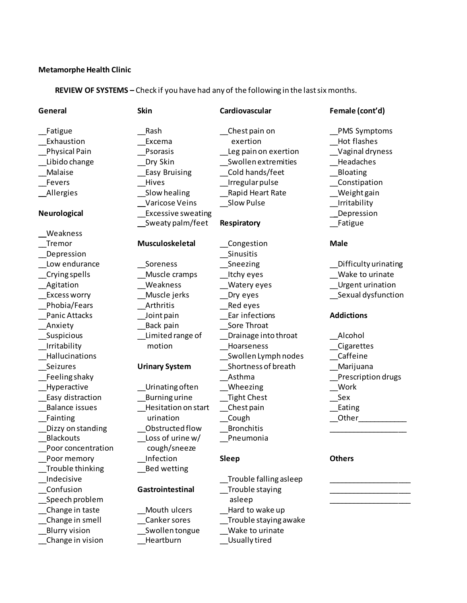## **Metamorphe Health Clinic**

**REVIEW OF SYSTEMS –** Check if you have had any of the following in the last six months.

| General                                                                                                   | Skin                                                                                                                                                        | Cardiovascular                                                                                                                                                         | Female (cont'd)                                                                                                                                               |
|-----------------------------------------------------------------------------------------------------------|-------------------------------------------------------------------------------------------------------------------------------------------------------------|------------------------------------------------------------------------------------------------------------------------------------------------------------------------|---------------------------------------------------------------------------------------------------------------------------------------------------------------|
| Fatigue<br>Exhaustion<br>Physical Pain<br>Libido change<br>Malaise<br>Fevers<br>Allergies<br>Neurological | Rash<br>Excema<br>Psorasis<br>Dry Skin<br><b>Easy Bruising</b><br>Hives<br>Slow healing<br>Varicose Veins<br><b>Excessive sweating</b><br>_Sweaty palm/feet | Chest pain on<br>exertion<br>Leg pain on exertion<br>Swollen extremities<br>Cold hands/feet<br><b>Irregular pulse</b><br>Rapid Heart Rate<br>Slow Pulse<br>Respiratory | <b>PMS Symptoms</b><br>Hot flashes<br>Vaginal dryness<br>Headaches<br><b>Bloating</b><br>Constipation<br>Weight gain<br>Irritability<br>Depression<br>Fatigue |
| Weakness                                                                                                  |                                                                                                                                                             |                                                                                                                                                                        |                                                                                                                                                               |
| Tremor<br>Depression                                                                                      | <b>Musculoskeletal</b>                                                                                                                                      | Congestion<br>Sinusitis                                                                                                                                                | <b>Male</b>                                                                                                                                                   |
| Low endurance                                                                                             | Soreness                                                                                                                                                    | Sneezing                                                                                                                                                               | Difficulty urinating                                                                                                                                          |
| Crying spells                                                                                             | Muscle cramps                                                                                                                                               | Itchy eyes                                                                                                                                                             | Wake to urinate                                                                                                                                               |
| Agitation                                                                                                 | Weakness                                                                                                                                                    | <b>Watery eyes</b>                                                                                                                                                     | <b>Urgent urination</b>                                                                                                                                       |
| <b>Excess worry</b>                                                                                       | Muscle jerks                                                                                                                                                | Dry eyes                                                                                                                                                               | Sexual dysfunction                                                                                                                                            |
| Phobia/Fears                                                                                              | Arthritis                                                                                                                                                   | Red eyes                                                                                                                                                               |                                                                                                                                                               |
| <b>Panic Attacks</b>                                                                                      | Joint pain                                                                                                                                                  | Ear infections                                                                                                                                                         | <b>Addictions</b>                                                                                                                                             |
| Anxiety                                                                                                   | Back pain                                                                                                                                                   | Sore Throat                                                                                                                                                            |                                                                                                                                                               |
| Suspicious                                                                                                | Limited range of                                                                                                                                            | Drainage into throat                                                                                                                                                   | Alcohol                                                                                                                                                       |
| Irritability                                                                                              | motion                                                                                                                                                      | Hoarseness                                                                                                                                                             | Cigarettes                                                                                                                                                    |
| Hallucinations                                                                                            |                                                                                                                                                             | Swollen Lymph nodes                                                                                                                                                    | Caffeine                                                                                                                                                      |
| Seizures                                                                                                  | <b>Urinary System</b>                                                                                                                                       | Shortness of breath                                                                                                                                                    | Marijuana                                                                                                                                                     |
| Feeling shaky                                                                                             |                                                                                                                                                             | Asthma                                                                                                                                                                 | Prescription drugs                                                                                                                                            |
| Hyperactive                                                                                               | Urinating often                                                                                                                                             | Wheezing                                                                                                                                                               | Work                                                                                                                                                          |
| Easy distraction                                                                                          | <b>Burning urine</b>                                                                                                                                        | <b>Tight Chest</b>                                                                                                                                                     | Sex                                                                                                                                                           |
| <b>Balance issues</b>                                                                                     | Hesitation on start                                                                                                                                         | Chest pain                                                                                                                                                             | Eating                                                                                                                                                        |
| Fainting                                                                                                  | urination                                                                                                                                                   | Cough                                                                                                                                                                  | Other                                                                                                                                                         |
| Dizzy on standing                                                                                         | Obstructed flow                                                                                                                                             | <b>Bronchitis</b>                                                                                                                                                      |                                                                                                                                                               |
| <b>Blackouts</b>                                                                                          | Loss of urine $w/$                                                                                                                                          | Pneumonia                                                                                                                                                              |                                                                                                                                                               |
| Poor concentration                                                                                        | cough/sneeze                                                                                                                                                |                                                                                                                                                                        |                                                                                                                                                               |
| Poor memory                                                                                               | Infection                                                                                                                                                   | <b>Sleep</b>                                                                                                                                                           | <b>Others</b>                                                                                                                                                 |
| Trouble thinking                                                                                          | Bed wetting                                                                                                                                                 |                                                                                                                                                                        |                                                                                                                                                               |
| Indecisive                                                                                                |                                                                                                                                                             | Trouble falling asleep                                                                                                                                                 |                                                                                                                                                               |
| Confusion                                                                                                 | Gastrointestinal                                                                                                                                            | Trouble staying                                                                                                                                                        |                                                                                                                                                               |
| Speech problem                                                                                            |                                                                                                                                                             | asleep                                                                                                                                                                 |                                                                                                                                                               |
| Change in taste                                                                                           | Mouth ulcers                                                                                                                                                | Hard to wake up                                                                                                                                                        |                                                                                                                                                               |
| Change in smell                                                                                           | Canker sores                                                                                                                                                | Trouble staying awake                                                                                                                                                  |                                                                                                                                                               |
| <b>Blurry vision</b>                                                                                      | Swollen tongue                                                                                                                                              | Wake to urinate                                                                                                                                                        |                                                                                                                                                               |
| Change in vision                                                                                          | Heartburn                                                                                                                                                   | Usually tired                                                                                                                                                          |                                                                                                                                                               |